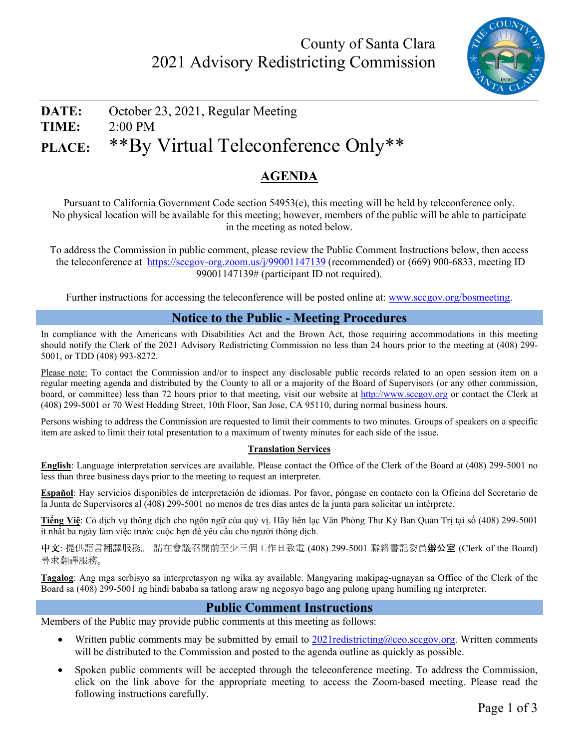

# **DATE:** October 23, 2021, Regular Meeting **TIME:** 2:00 PM **PLACE:** \*\*By Virtual Teleconference Only\*\*

## **AGENDA**

Pursuant to California Government Code section 54953(e), this meeting will be held by teleconference only. No physical location will be available for this meeting; however, members of the public will be able to participate in the meeting as noted below.

To address the Commission in public comment, please review the Public Comment Instructions below, then access the teleconference at<https://sccgov-org.zoom.us/j/99001147139> (recommended) or (669) 900-6833, meeting ID 99001147139# (participant ID not required).

Further instructions for accessing the teleconference will be posted online at: [www.sccgov.org/bosmeeting.](http://www.sccgov.org/bosmeeting)

#### **Notice to the Public - Meeting Procedures**

In compliance with the Americans with Disabilities Act and the Brown Act, those requiring accommodations in this meeting should notify the Clerk of the 2021 Advisory Redistricting Commission no less than 24 hours prior to the meeting at (408) 299- 5001, or TDD (408) 993-8272.

Please note: To contact the Commission and/or to inspect any disclosable public records related to an open session item on a regular meeting agenda and distributed by the County to all or a majority of the Board of Supervisors (or any other commission, board, or committee) less than 72 hours prior to that meeting, visit our website at [http://www.sccgov.org](http://www.sccgov.org/) or contact the Clerk at (408) 299-5001 or 70 West Hedding Street, 10th Floor, San Jose, CA 95110, during normal business hours.

Persons wishing to address the Commission are requested to limit their comments to two minutes. Groups of speakers on a specific item are asked to limit their total presentation to a maximum of twenty minutes for each side of the issue.

#### **Translation Services**

**English**: Language interpretation services are available. Please contact the Office of the Clerk of the Board at (408) 299-5001 no less than three business days prior to the meeting to request an interpreter.

**Español**: Hay servicios disponibles de interpretación de idiomas. Por favor, póngase en contacto con la Oficina del Secretario de la Junta de Supervisores al (408) 299-5001 no menos de tres días antes de la junta para solicitar un intérprete.

**Tiếng Việ**: Có dịch vụ thông dịch cho ngôn ngữ của quý vị. Hãy liên lạc Văn Phòng Thư Ký Ban Quản Trị tại số (408) 299-5001 ít nhất ba ngày làm việc trước cuộc hẹn để yêu cầu cho người thông dịch.

中文: 提供語言翻譯服務。 請在會議召開前至少三個工作日致電 (408) 299-5001 聯絡書記委員辦公室 (Clerk of the Board) 尋求翻譯服務。

**Tagalog**: Ang mga serbisyo sa interpretasyon ng wika ay available. Mangyaring makipag-ugnayan sa Office of the Clerk of the Board sa (408) 299-5001 ng hindi bababa sa tatlong araw ng negosyo bago ang pulong upang humiling ng interpreter.

#### **Public Comment Instructions**

Members of the Public may provide public comments at this meeting as follows:

- Written public comments may be submitted by email to  $2021$  redistricting @ceo.sccgov.org. Written comments will be distributed to the Commission and posted to the agenda outline as quickly as possible.
- Spoken public comments will be accepted through the teleconference meeting. To address the Commission, click on the link above for the appropriate meeting to access the Zoom-based meeting. Please read the following instructions carefully.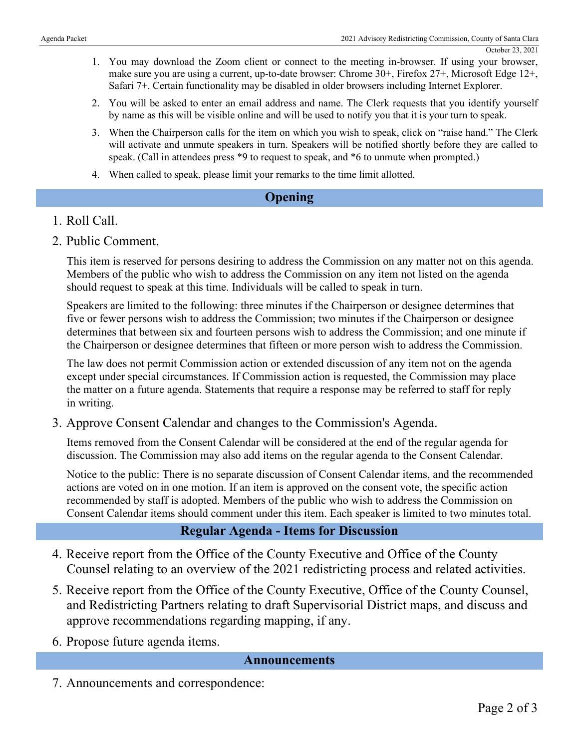- 1. You may download the Zoom client or connect to the meeting in-browser. If using your browser, make sure you are using a current, up-to-date browser: Chrome 30+, Firefox 27+, Microsoft Edge 12+, Safari 7+. Certain functionality may be disabled in older browsers including Internet Explorer.
- 2. You will be asked to enter an email address and name. The Clerk requests that you identify yourself by name as this will be visible online and will be used to notify you that it is your turn to speak.
- 3. When the Chairperson calls for the item on which you wish to speak, click on "raise hand." The Clerk will activate and unmute speakers in turn. Speakers will be notified shortly before they are called to speak. (Call in attendees press \*9 to request to speak, and \*6 to unmute when prompted.)
- 4. When called to speak, please limit your remarks to the time limit allotted.

#### **Opening**

#### 1. Roll Call.

2. Public Comment.

This item is reserved for persons desiring to address the Commission on any matter not on this agenda. Members of the public who wish to address the Commission on any item not listed on the agenda should request to speak at this time. Individuals will be called to speak in turn.

Speakers are limited to the following: three minutes if the Chairperson or designee determines that five or fewer persons wish to address the Commission; two minutes if the Chairperson or designee determines that between six and fourteen persons wish to address the Commission; and one minute if the Chairperson or designee determines that fifteen or more person wish to address the Commission.

The law does not permit Commission action or extended discussion of any item not on the agenda except under special circumstances. If Commission action is requested, the Commission may place the matter on a future agenda. Statements that require a response may be referred to staff for reply in writing.

3. Approve Consent Calendar and changes to the Commission's Agenda.

Items removed from the Consent Calendar will be considered at the end of the regular agenda for discussion. The Commission may also add items on the regular agenda to the Consent Calendar.

Notice to the public: There is no separate discussion of Consent Calendar items, and the recommended actions are voted on in one motion. If an item is approved on the consent vote, the specific action recommended by staff is adopted. Members of the public who wish to address the Commission on Consent Calendar items should comment under this item. Each speaker is limited to two minutes total.

### **Regular Agenda - Items for Discussion**

- 4. Receive report from the Office of the County Executive and Office of the County Counsel relating to an overview of the 2021 redistricting process and related activities.
- 5. Receive report from the Office of the County Executive, Office of the County Counsel, and Redistricting Partners relating to draft Supervisorial District maps, and discuss and approve recommendations regarding mapping, if any.
- 6. Propose future agenda items.

#### **Announcements**

7. Announcements and correspondence: